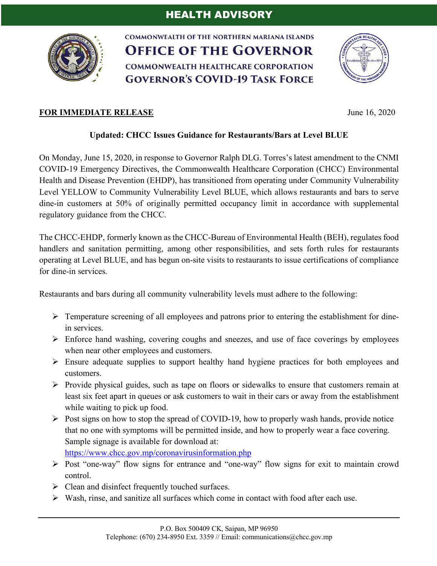

**COMMONWEALTH OF THE NORTHERN MARIANA ISLANDS OFFICE OF THE GOVERNOR COMMONWEALTH HEALTHCARE CORPORATION GOVERNOR'S COVID-19 TASK FORCE** 



## **FOR IMMEDIATE RELEASE** June 16, 2020

## **Updated: CHCC Issues Guidance for Restaurants/Bars at Level BLUE**

On Monday, June 15, 2020, in response to Governor Ralph DLG. Torres's latest amendment to the CNMI COVID-19 Emergency Directives, the Commonwealth Healthcare Corporation (CHCC) Environmental Health and Disease Prevention (EHDP), has transitioned from operating under Community Vulnerability Level YELLOW to Community Vulnerability Level BLUE, which allows restaurants and bars to serve dine-in customers at 50% of originally permitted occupancy limit in accordance with supplemental regulatory guidance from the CHCC.

The CHCC-EHDP, formerly known as the CHCC-Bureau of Environmental Health (BEH), regulates food handlers and sanitation permitting, among other responsibilities, and sets forth rules for restaurants operating at Level BLUE, and has begun on-site visits to restaurants to issue certifications of compliance for dine-in services.

Restaurants and bars during all community vulnerability levels must adhere to the following:

- $\triangleright$  Temperature screening of all employees and patrons prior to entering the establishment for dinein services.
- $\triangleright$  Enforce hand washing, covering coughs and sneezes, and use of face coverings by employees when near other employees and customers.
- $\triangleright$  Ensure adequate supplies to support healthy hand hygiene practices for both employees and customers.
- $\triangleright$  Provide physical guides, such as tape on floors or sidewalks to ensure that customers remain at least six feet apart in queues or ask customers to wait in their cars or away from the establishment while waiting to pick up food.
- $\triangleright$  Post signs on how to stop the spread of COVID-19, how to properly wash hands, provide notice that no one with symptoms will be permitted inside, and how to properly wear a face covering. Sample signage is available for download at: https://www.chcc.gov.mp/coronavirusinformation.php
- Ø Post "one-way" flow signs for entrance and "one-way" flow signs for exit to maintain crowd control.
- $\triangleright$  Clean and disinfect frequently touched surfaces.
- $\triangleright$  Wash, rinse, and sanitize all surfaces which come in contact with food after each use.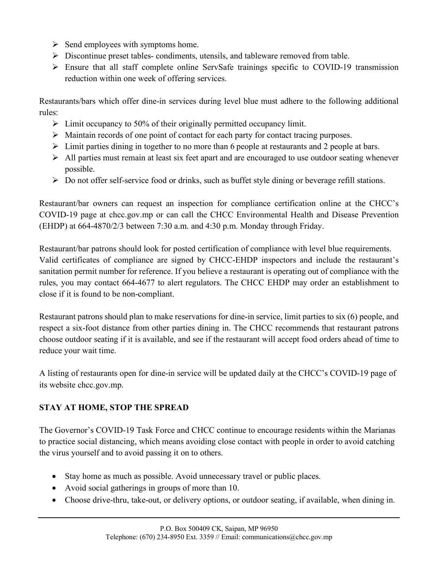- $\triangleright$  Send employees with symptoms home.
- $\triangleright$  Discontinue preset tables- condiments, utensils, and tableware removed from table.
- $\triangleright$  Ensure that all staff complete online ServSafe trainings specific to COVID-19 transmission reduction within one week of offering services.

Restaurants/bars which offer dine-in services during level blue must adhere to the following additional rules:

- $\triangleright$  Limit occupancy to 50% of their originally permitted occupancy limit.
- $\triangleright$  Maintain records of one point of contact for each party for contact tracing purposes.
- $\triangleright$  Limit parties dining in together to no more than 6 people at restaurants and 2 people at bars.
- $\triangleright$  All parties must remain at least six feet apart and are encouraged to use outdoor seating whenever possible.
- $\triangleright$  Do not offer self-service food or drinks, such as buffet style dining or beverage refill stations.

Restaurant/bar owners can request an inspection for compliance certification online at the CHCC's COVID-19 page at chcc.gov.mp or can call the CHCC Environmental Health and Disease Prevention (EHDP) at 664-4870/2/3 between 7:30 a.m. and 4:30 p.m. Monday through Friday.

Restaurant/bar patrons should look for posted certification of compliance with level blue requirements. Valid certificates of compliance are signed by CHCC-EHDP inspectors and include the restaurant's sanitation permit number for reference. If you believe a restaurant is operating out of compliance with the rules, you may contact 664-4677 to alert regulators. The CHCC EHDP may order an establishment to close if it is found to be non-compliant.

Restaurant patrons should plan to make reservations for dine-in service, limit parties to six (6) people, and respect a six-foot distance from other parties dining in. The CHCC recommends that restaurant patrons choose outdoor seating if it is available, and see if the restaurant will accept food orders ahead of time to reduce your wait time.

A listing of restaurants open for dine-in service will be updated daily at the CHCC's COVID-19 page of its website chcc.gov.mp.

## **STAY AT HOME, STOP THE SPREAD**

The Governor's COVID-19 Task Force and CHCC continue to encourage residents within the Marianas to practice social distancing, which means avoiding close contact with people in order to avoid catching the virus yourself and to avoid passing it on to others.

- Stay home as much as possible. Avoid unnecessary travel or public places.
- Avoid social gatherings in groups of more than 10.
- Choose drive-thru, take-out, or delivery options, or outdoor seating, if available, when dining in.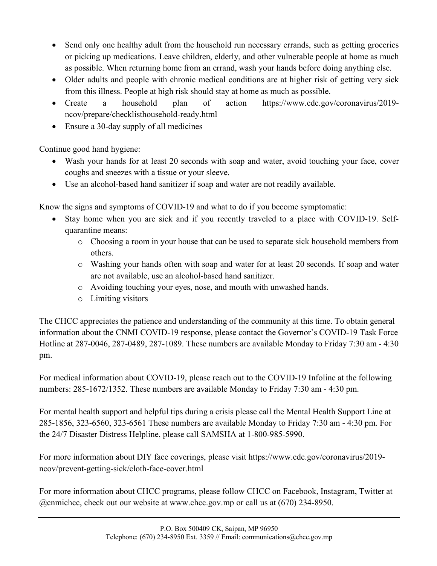- Send only one healthy adult from the household run necessary errands, such as getting groceries or picking up medications. Leave children, elderly, and other vulnerable people at home as much as possible. When returning home from an errand, wash your hands before doing anything else.
- Older adults and people with chronic medical conditions are at higher risk of getting very sick from this illness. People at high risk should stay at home as much as possible.
- Create a household plan of action https://www.cdc.gov/coronavirus/2019ncov/prepare/checklisthousehold-ready.html
- Ensure a 30-day supply of all medicines

Continue good hand hygiene:

- Wash your hands for at least 20 seconds with soap and water, avoid touching your face, cover coughs and sneezes with a tissue or your sleeve.
- Use an alcohol-based hand sanitizer if soap and water are not readily available.

Know the signs and symptoms of COVID-19 and what to do if you become symptomatic:

- Stay home when you are sick and if you recently traveled to a place with COVID-19. Selfquarantine means:
	- o Choosing a room in your house that can be used to separate sick household members from others.
	- o Washing your hands often with soap and water for at least 20 seconds. If soap and water are not available, use an alcohol-based hand sanitizer.
	- o Avoiding touching your eyes, nose, and mouth with unwashed hands.
	- o Limiting visitors

The CHCC appreciates the patience and understanding of the community at this time. To obtain general information about the CNMI COVID-19 response, please contact the Governor's COVID-19 Task Force Hotline at 287-0046, 287-0489, 287-1089. These numbers are available Monday to Friday 7:30 am - 4:30 pm.

For medical information about COVID-19, please reach out to the COVID-19 Infoline at the following numbers: 285-1672/1352. These numbers are available Monday to Friday 7:30 am - 4:30 pm.

For mental health support and helpful tips during a crisis please call the Mental Health Support Line at 285-1856, 323-6560, 323-6561 These numbers are available Monday to Friday 7:30 am - 4:30 pm. For the 24/7 Disaster Distress Helpline, please call SAMSHA at 1-800-985-5990.

For more information about DIY face coverings, please visit https://www.cdc.gov/coronavirus/2019 ncov/prevent-getting-sick/cloth-face-cover.html

For more information about CHCC programs, please follow CHCC on Facebook, Instagram, Twitter at @cnmichcc, check out our website at www.chcc.gov.mp or call us at (670) 234-8950.